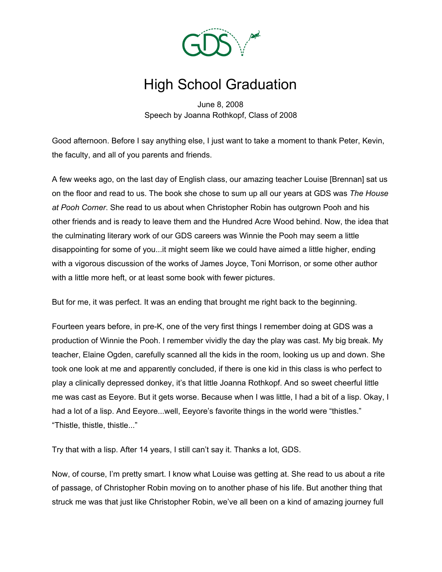

## High School Graduation

June 8, 2008 Speech by Joanna Rothkopf, Class of 2008

Good afternoon. Before I say anything else, I just want to take a moment to thank Peter, Kevin, the faculty, and all of you parents and friends.

A few weeks ago, on the last day of English class, our amazing teacher Louise [Brennan] sat us on the floor and read to us. The book she chose to sum up all our years at GDS was *The House at Pooh Corner*. She read to us about when Christopher Robin has outgrown Pooh and his other friends and is ready to leave them and the Hundred Acre Wood behind. Now, the idea that the culminating literary work of our GDS careers was Winnie the Pooh may seem a little disappointing for some of you...it might seem like we could have aimed a little higher, ending with a vigorous discussion of the works of James Joyce, Toni Morrison, or some other author with a little more heft, or at least some book with fewer pictures.

But for me, it was perfect. It was an ending that brought me right back to the beginning.

Fourteen years before, in pre-K, one of the very first things I remember doing at GDS was a production of Winnie the Pooh. I remember vividly the day the play was cast. My big break. My teacher, Elaine Ogden, carefully scanned all the kids in the room, looking us up and down. She took one look at me and apparently concluded, if there is one kid in this class is who perfect to play a clinically depressed donkey, it's that little Joanna Rothkopf. And so sweet cheerful little me was cast as Eeyore. But it gets worse. Because when I was little, I had a bit of a lisp. Okay, I had a lot of a lisp. And Eeyore...well, Eeyore's favorite things in the world were "thistles." "Thistle, thistle, thistle..."

Try that with a lisp. After 14 years, I still can't say it. Thanks a lot, GDS.

Now, of course, I'm pretty smart. I know what Louise was getting at. She read to us about a rite of passage, of Christopher Robin moving on to another phase of his life. But another thing that struck me was that just like Christopher Robin, we've all been on a kind of amazing journey full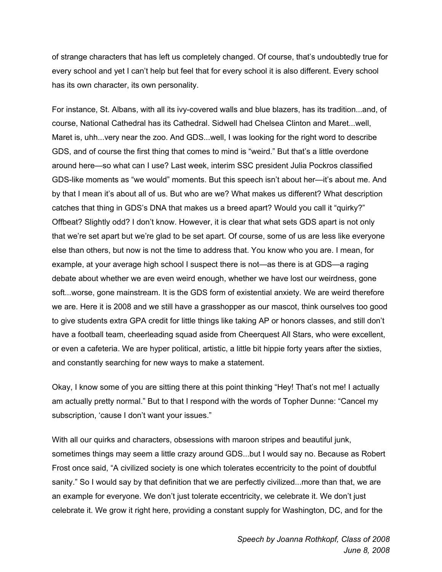of strange characters that has left us completely changed. Of course, that's undoubtedly true for every school and yet I can't help but feel that for every school it is also different. Every school has its own character, its own personality.

For instance, St. Albans, with all its ivy-covered walls and blue blazers, has its tradition...and, of course, National Cathedral has its Cathedral. Sidwell had Chelsea Clinton and Maret...well, Maret is, uhh...very near the zoo. And GDS...well, I was looking for the right word to describe GDS, and of course the first thing that comes to mind is "weird." But that's a little overdone around here—so what can I use? Last week, interim SSC president Julia Pockros classified GDS-like moments as "we would" moments. But this speech isn't about her—it's about me. And by that I mean it's about all of us. But who are we? What makes us different? What description catches that thing in GDS's DNA that makes us a breed apart? Would you call it "quirky?" Offbeat? Slightly odd? I don't know. However, it is clear that what sets GDS apart is not only that we're set apart but we're glad to be set apart. Of course, some of us are less like everyone else than others, but now is not the time to address that. You know who you are. I mean, for example, at your average high school I suspect there is not—as there is at GDS—a raging debate about whether we are even weird enough, whether we have lost our weirdness, gone soft...worse, gone mainstream. It is the GDS form of existential anxiety. We are weird therefore we are. Here it is 2008 and we still have a grasshopper as our mascot, think ourselves too good to give students extra GPA credit for little things like taking AP or honors classes, and still don't have a football team, cheerleading squad aside from Cheerquest All Stars, who were excellent, or even a cafeteria. We are hyper political, artistic, a little bit hippie forty years after the sixties, and constantly searching for new ways to make a statement.

Okay, I know some of you are sitting there at this point thinking "Hey! That's not me! I actually am actually pretty normal." But to that I respond with the words of Topher Dunne: "Cancel my subscription, 'cause I don't want your issues."

With all our quirks and characters, obsessions with maroon stripes and beautiful junk, sometimes things may seem a little crazy around GDS...but I would say no. Because as Robert Frost once said, "A civilized society is one which tolerates eccentricity to the point of doubtful sanity." So I would say by that definition that we are perfectly civilized...more than that, we are an example for everyone. We don't just tolerate eccentricity, we celebrate it. We don't just celebrate it. We grow it right here, providing a constant supply for Washington, DC, and for the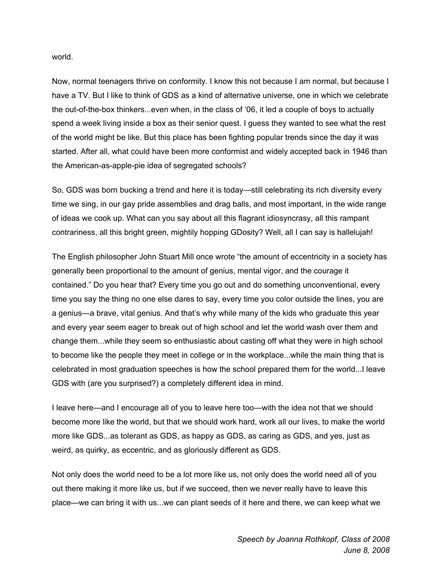world.

Now, normal teenagers thrive on conformity. I know this not because I am normal, but because I have a TV. But I like to think of GDS as a kind of alternative universe, one in which we celebrate the out-of-the-box thinkers...even when, in the class of '06, it led a couple of boys to actually spend a week living inside a box as their senior quest. I guess they wanted to see what the rest of the world might be like. But this place has been fighting popular trends since the day it was started. After all, what could have been more conformist and widely accepted back in 1946 than the American-as-apple-pie idea of segregated schools?

So, GDS was born bucking a trend and here it is today—still celebrating its rich diversity every time we sing, in our gay pride assemblies and drag balls, and most important, in the wide range of ideas we cook up. What can you say about all this flagrant idiosyncrasy, all this rampant contrariness, all this bright green, mightily hopping GDosity? Well, all I can say is hallelujah!

The English philosopher John Stuart Mill once wrote "the amount of eccentricity in a society has generally been proportional to the amount of genius, mental vigor, and the courage it contained." Do you hear that? Every time you go out and do something unconventional, every time you say the thing no one else dares to say, every time you color outside the lines, you are a genius—a brave, vital genius. And that's why while many of the kids who graduate this year and every year seem eager to break out of high school and let the world wash over them and change them...while they seem so enthusiastic about casting off what they were in high school to become like the people they meet in college or in the workplace...while the main thing that is celebrated in most graduation speeches is how the school prepared them for the world...I leave GDS with (are you surprised?) a completely different idea in mind.

I leave here—and I encourage all of you to leave here too—with the idea not that we should become more like the world, but that we should work hard, work all our lives, to make the world more like GDS...as tolerant as GDS, as happy as GDS, as caring as GDS, and yes, just as weird, as quirky, as eccentric, and as gloriously different as GDS.

Not only does the world need to be a lot more like us, not only does the world need all of you out there making it more like us, but if we succeed, then we never really have to leave this place—we can bring it with us...we can plant seeds of it here and there, we can keep what we